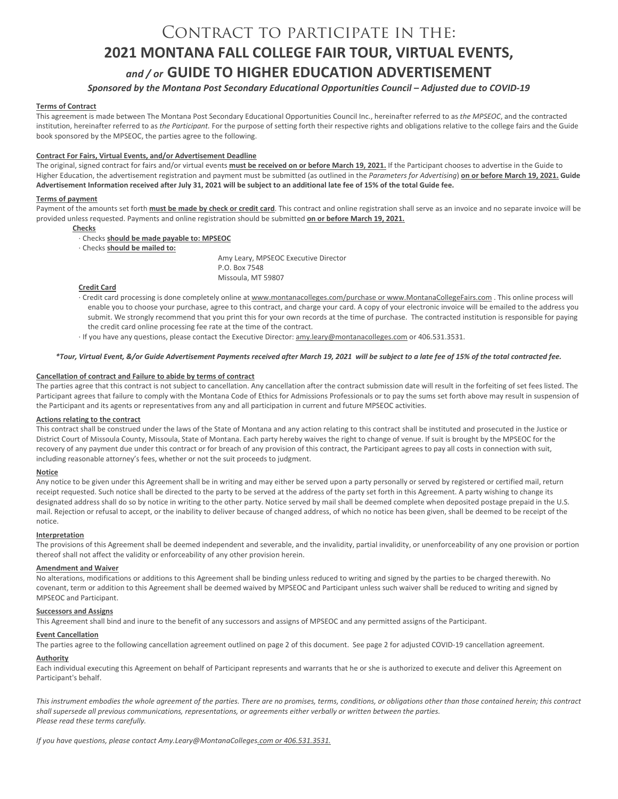# Contract to participate in the: **2021 MONTANA FALL COLLEGE FAIR TOUR, VIRTUAL EVENTS,** *and / or* **GUIDE TO HIGHER EDUCATION ADVERTISEMENT**

# *Sponsored by the Montana Post Secondary Educational Opportunities Council – Adjusted due to COVID-19*

# **Terms of Contract**

This agreement is made between The Montana Post Secondary Educational Opportunities Council Inc., hereinafter referred to as *the MPSEOC*, and the contracted institution, hereinafter referred to as *the Participant.* For the purpose of setting forth their respective rights and obligations relative to the college fairs and the Guide book sponsored by the MPSEOC, the parties agree to the following.

# **Contract For Fairs, Virtual Events, and/or Advertisement Deadline**

The original, signed contract for fairs and/or virtual events **must be received on or before March 19, 2021.** If the Participant chooses to advertise in the Guide to Higher Education, the advertisement registration and payment must be submitted (as outlined in the *Parameters for Advertising*) **on or before March 19, 2021. Guide Advertisement Information received after July 31, 2021 will be subject to an additional late fee of 15% of the total Guide fee.**

#### **Terms of payment**

Payment of the amounts set forth **must be made by check or credit card**. This contract and online registration shall serve as an invoice and no separate invoice will be provided unless requested. Payments and online registration should be submitted **on or before March 19, 2021.**

- **Checks**
	- · Checks **should be made payable to: MPSEOC**
- · Checks **should be mailed to:**

Amy Leary, MPSEOC Executive Director P.O. Box 7548 Missoula, MT 59807

## **Credit Card**

- · Credit card processing is done completely online a[t www.montanacolleges.com/purchase](http://www.montanacolleges.com/purchase) or www.MontanaCollegeFairs.com . This online process will enable you to choose your purchase, agree to this contract, and charge your card. A copy of your electronic invoice will be emailed to the address you submit. We strongly recommend that you print this for your own records at the time of purchase. The contracted institution is responsible for paying the credit card online processing fee rate at the time of the contract.
- · If you have any questions, please contact the Executive Director[: amy.leary@montanacolleges.com](mailto:amy.leary@montanacolleges.com) or 406.531.3531.

# *\*Tour, Virtual Event, &/or Guide Advertisement Payments received after March 19, 2021 will be subject to a late fee of 15% of the total contracted fee.*

#### **Cancellation of contract and Failure to abide by terms of contract**

The parties agree that this contract is not subject to cancellation. Any cancellation after the contract submission date will result in the forfeiting of set fees listed. The Participant agrees that failure to comply with the Montana Code of Ethics for Admissions Professionals or to pay the sums set forth above may result in suspension of the Participant and its agents or representatives from any and all participation in current and future MPSEOC activities.

#### **Actions relating to the contract**

This contract shall be construed under the laws of the State of Montana and any action relating to this contract shall be instituted and prosecuted in the Justice or District Court of Missoula County, Missoula, State of Montana. Each party hereby waives the right to change of venue. If suit is brought by the MPSEOC for the recovery of any payment due under this contract or for breach of any provision of this contract, the Participant agrees to pay all costs in connection with suit, including reasonable attorney's fees, whether or not the suit proceeds to judgment.

#### **Notice**

Any notice to be given under this Agreement shall be in writing and may either be served upon a party personally or served by registered or certified mail, return receipt requested. Such notice shall be directed to the party to be served at the address of the party set forth in this Agreement. A party wishing to change its designated address shall do so by notice in writing to the other party. Notice served by mail shall be deemed complete when deposited postage prepaid in the U.S. mail. Rejection or refusal to accept, or the inability to deliver because of changed address, of which no notice has been given, shall be deemed to be receipt of the notice.

#### **Interpretation**

The provisions of this Agreement shall be deemed independent and severable, and the invalidity, partial invalidity, or unenforceability of any one provision or portion thereof shall not affect the validity or enforceability of any other provision herein.

#### **Amendment and Waiver**

No alterations, modifications or additions to this Agreement shall be binding unless reduced to writing and signed by the parties to be charged therewith. No covenant, term or addition to this Agreement shall be deemed waived by MPSEOC and Participant unless such waiver shall be reduced to writing and signed by MPSEOC and Participant.

#### **Successors and Assigns**

This Agreement shall bind and inure to the benefit of any successors and assigns of MPSEOC and any permitted assigns of the Participant.

# **Event Cancellation**

The parties agree to the following cancellation agreement outlined on page 2 of this document. See page 2 for adjusted COVID-19 cancellation agreement.

#### **Authority**

Each individual executing this Agreement on behalf of Participant represents and warrants that he or she is authorized to execute and deliver this Agreement on Participant's behalf.

*This instrument embodies the whole agreement of the parties. There are no promises, terms, conditions, or obligations other than those contained herein; this contract shall supersede all previous communications, representations, or agreements either verbally or written between the parties. Please read these terms carefully.*

*If you have questions, please contact Amy.Leary@MontanaColleges.com or 406.531.3531.*